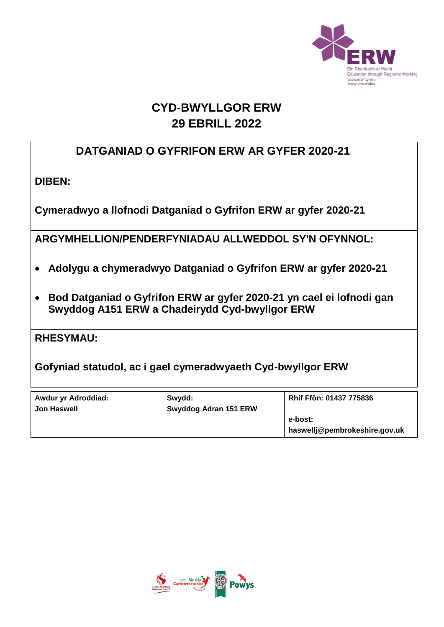

# **CYD-BWYLLGOR ERW 29 EBRILL 2022**

### **DATGANIAD O GYFRIFON ERW AR GYFER 2020-21**

**DIBEN:** 

**Cymeradwyo a llofnodi Datganiad o Gyfrifon ERW ar gyfer 2020-21**

**ARGYMHELLION/PENDERFYNIADAU ALLWEDDOL SY'N OFYNNOL:**

- **Adolygu a chymeradwyo Datganiad o Gyfrifon ERW ar gyfer 2020-21**
- **Bod Datganiad o Gyfrifon ERW ar gyfer 2020-21 yn cael ei lofnodi gan Swyddog A151 ERW a Chadeirydd Cyd-bwyllgor ERW**

**RHESYMAU:** 

**Gofyniad statudol, ac i gael cymeradwyaeth Cyd-bwyllgor ERW**

| Awdur yr Adroddiad:<br><b>Jon Haswell</b> | Swydd:<br><b>Swyddog Adran 151 ERW</b> | Rhif Ffôn: 01437 775836                  |
|-------------------------------------------|----------------------------------------|------------------------------------------|
|                                           |                                        | e-bost:<br>haswellj@pembrokeshire.gov.uk |